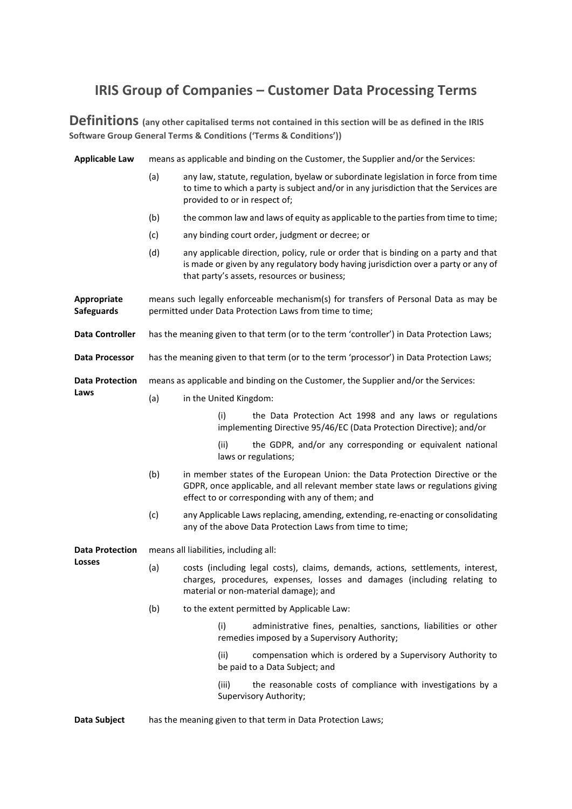# **IRIS Group of Companies – Customer Data Processing Terms**

**Definitions (any other capitalised terms not contained in this section will be as defined in the IRIS Software Group General Terms & Conditions ('Terms & Conditions'))**

| <b>Applicable Law</b>                   | means as applicable and binding on the Customer, the Supplier and/or the Services:                                                              |                                                                                                                                                                                                                          |  |
|-----------------------------------------|-------------------------------------------------------------------------------------------------------------------------------------------------|--------------------------------------------------------------------------------------------------------------------------------------------------------------------------------------------------------------------------|--|
|                                         | (a)                                                                                                                                             | any law, statute, regulation, byelaw or subordinate legislation in force from time<br>to time to which a party is subject and/or in any jurisdiction that the Services are<br>provided to or in respect of;              |  |
|                                         | (b)                                                                                                                                             | the common law and laws of equity as applicable to the parties from time to time;                                                                                                                                        |  |
|                                         | (c)                                                                                                                                             | any binding court order, judgment or decree; or                                                                                                                                                                          |  |
|                                         | (d)                                                                                                                                             | any applicable direction, policy, rule or order that is binding on a party and that<br>is made or given by any regulatory body having jurisdiction over a party or any of<br>that party's assets, resources or business; |  |
| Appropriate<br><b>Safeguards</b>        | means such legally enforceable mechanism(s) for transfers of Personal Data as may be<br>permitted under Data Protection Laws from time to time; |                                                                                                                                                                                                                          |  |
| <b>Data Controller</b>                  | has the meaning given to that term (or to the term 'controller') in Data Protection Laws;                                                       |                                                                                                                                                                                                                          |  |
| <b>Data Processor</b>                   | has the meaning given to that term (or to the term 'processor') in Data Protection Laws;                                                        |                                                                                                                                                                                                                          |  |
| <b>Data Protection</b><br>Laws          | means as applicable and binding on the Customer, the Supplier and/or the Services:                                                              |                                                                                                                                                                                                                          |  |
|                                         | (a)                                                                                                                                             | in the United Kingdom:                                                                                                                                                                                                   |  |
|                                         |                                                                                                                                                 | the Data Protection Act 1998 and any laws or regulations<br>(i)<br>implementing Directive 95/46/EC (Data Protection Directive); and/or                                                                                   |  |
|                                         |                                                                                                                                                 | (ii)<br>the GDPR, and/or any corresponding or equivalent national<br>laws or regulations;                                                                                                                                |  |
|                                         | (b)                                                                                                                                             | in member states of the European Union: the Data Protection Directive or the<br>GDPR, once applicable, and all relevant member state laws or regulations giving<br>effect to or corresponding with any of them; and      |  |
|                                         | (c)                                                                                                                                             | any Applicable Laws replacing, amending, extending, re-enacting or consolidating<br>any of the above Data Protection Laws from time to time;                                                                             |  |
| <b>Data Protection</b><br><b>Losses</b> | means all liabilities, including all:                                                                                                           |                                                                                                                                                                                                                          |  |
|                                         | (a)                                                                                                                                             | costs (including legal costs), claims, demands, actions, settlements, interest,<br>charges, procedures, expenses, losses and damages (including relating to<br>material or non-material damage); and                     |  |
|                                         | (b)                                                                                                                                             | to the extent permitted by Applicable Law:                                                                                                                                                                               |  |
|                                         |                                                                                                                                                 | (i)<br>administrative fines, penalties, sanctions, liabilities or other<br>remedies imposed by a Supervisory Authority;                                                                                                  |  |
|                                         |                                                                                                                                                 | compensation which is ordered by a Supervisory Authority to<br>(ii)<br>be paid to a Data Subject; and                                                                                                                    |  |
|                                         |                                                                                                                                                 | the reasonable costs of compliance with investigations by a<br>(iii)<br>Supervisory Authority;                                                                                                                           |  |
|                                         |                                                                                                                                                 |                                                                                                                                                                                                                          |  |

**Data Subject** has the meaning given to that term in Data Protection Laws;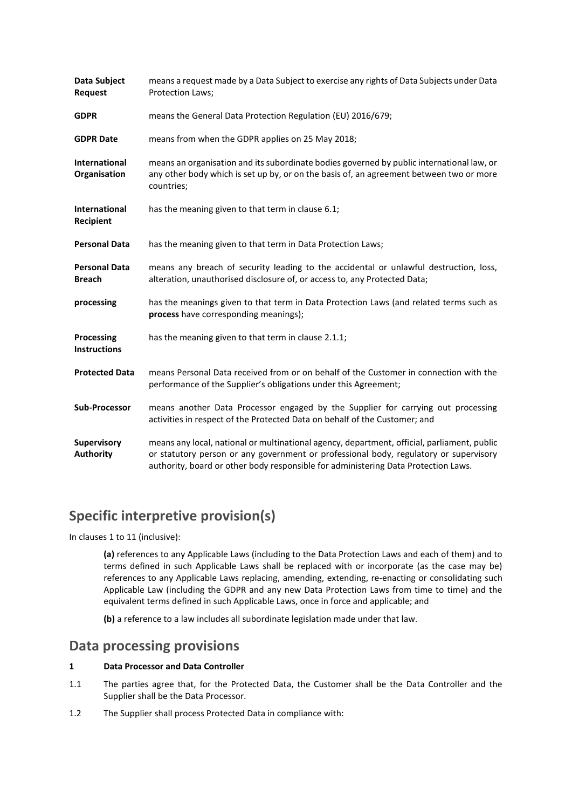| Data Subject<br><b>Request</b>         | means a request made by a Data Subject to exercise any rights of Data Subjects under Data<br>Protection Laws;                                                                                                                                                              |
|----------------------------------------|----------------------------------------------------------------------------------------------------------------------------------------------------------------------------------------------------------------------------------------------------------------------------|
| <b>GDPR</b>                            | means the General Data Protection Regulation (EU) 2016/679;                                                                                                                                                                                                                |
| <b>GDPR Date</b>                       | means from when the GDPR applies on 25 May 2018;                                                                                                                                                                                                                           |
| <b>International</b><br>Organisation   | means an organisation and its subordinate bodies governed by public international law, or<br>any other body which is set up by, or on the basis of, an agreement between two or more<br>countries;                                                                         |
| International<br>Recipient             | has the meaning given to that term in clause 6.1;                                                                                                                                                                                                                          |
| <b>Personal Data</b>                   | has the meaning given to that term in Data Protection Laws;                                                                                                                                                                                                                |
| <b>Personal Data</b><br><b>Breach</b>  | means any breach of security leading to the accidental or unlawful destruction, loss,<br>alteration, unauthorised disclosure of, or access to, any Protected Data;                                                                                                         |
| processing                             | has the meanings given to that term in Data Protection Laws (and related terms such as<br>process have corresponding meanings);                                                                                                                                            |
| Processing<br><b>Instructions</b>      | has the meaning given to that term in clause 2.1.1;                                                                                                                                                                                                                        |
| <b>Protected Data</b>                  | means Personal Data received from or on behalf of the Customer in connection with the<br>performance of the Supplier's obligations under this Agreement;                                                                                                                   |
| <b>Sub-Processor</b>                   | means another Data Processor engaged by the Supplier for carrying out processing<br>activities in respect of the Protected Data on behalf of the Customer; and                                                                                                             |
| <b>Supervisory</b><br><b>Authority</b> | means any local, national or multinational agency, department, official, parliament, public<br>or statutory person or any government or professional body, regulatory or supervisory<br>authority, board or other body responsible for administering Data Protection Laws. |

# **Specific interpretive provision(s)**

In clause[s 1](#page-1-0) to [11](#page-5-0) (inclusive):

**(a)** references to any Applicable Laws (including to the Data Protection Laws and each of them) and to terms defined in such Applicable Laws shall be replaced with or incorporate (as the case may be) references to any Applicable Laws replacing, amending, extending, re-enacting or consolidating such Applicable Law (including the GDPR and any new Data Protection Laws from time to time) and the equivalent terms defined in such Applicable Laws, once in force and applicable; and

**(b)** a reference to a law includes all subordinate legislation made under that law.

### **Data processing provisions**

#### <span id="page-1-0"></span>**1 Data Processor and Data Controller**

- 1.1 The parties agree that, for the Protected Data, the Customer shall be the Data Controller and the Supplier shall be the Data Processor.
- 1.2 The Supplier shall process Protected Data in compliance with: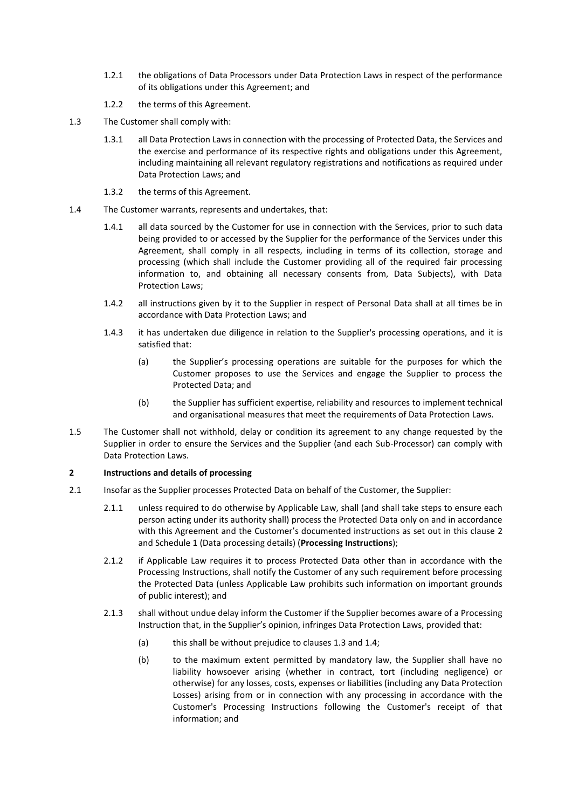- 1.2.1 the obligations of Data Processors under Data Protection Laws in respect of the performance of its obligations under this Agreement; and
- 1.2.2 the terms of this Agreement.
- <span id="page-2-2"></span>1.3 The Customer shall comply with:
	- 1.3.1 all Data Protection Laws in connection with the processing of Protected Data, the Services and the exercise and performance of its respective rights and obligations under this Agreement, including maintaining all relevant regulatory registrations and notifications as required under Data Protection Laws; and
	- 1.3.2 the terms of this Agreement.
- <span id="page-2-3"></span>1.4 The Customer warrants, represents and undertakes, that:
	- 1.4.1 all data sourced by the Customer for use in connection with the Services, prior to such data being provided to or accessed by the Supplier for the performance of the Services under this Agreement, shall comply in all respects, including in terms of its collection, storage and processing (which shall include the Customer providing all of the required fair processing information to, and obtaining all necessary consents from, Data Subjects), with Data Protection Laws;
	- 1.4.2 all instructions given by it to the Supplier in respect of Personal Data shall at all times be in accordance with Data Protection Laws; and
	- 1.4.3 it has undertaken due diligence in relation to the Supplier's processing operations, and it is satisfied that:
		- (a) the Supplier's processing operations are suitable for the purposes for which the Customer proposes to use the Services and engage the Supplier to process the Protected Data; and
		- (b) the Supplier has sufficient expertise, reliability and resources to implement technical and organisational measures that meet the requirements of Data Protection Laws.
- 1.5 The Customer shall not withhold, delay or condition its agreement to any change requested by the Supplier in order to ensure the Services and the Supplier (and each Sub-Processor) can comply with Data Protection Laws.

#### <span id="page-2-1"></span>**2 Instructions and details of processing**

- <span id="page-2-5"></span><span id="page-2-4"></span><span id="page-2-0"></span>2.1 Insofar as the Supplier processes Protected Data on behalf of the Customer, the Supplier:
	- 2.1.1 unless required to do otherwise by Applicable Law, shall (and shall take steps to ensure each person acting under its authority shall) process the Protected Data only on and in accordance with this Agreement and the Customer's documented instructions as set out in this clause [2](#page-2-1) an[d Schedule 1](#page-6-0) (Data processing details) (**Processing Instructions**);
	- 2.1.2 if Applicable Law requires it to process Protected Data other than in accordance with the Processing Instructions, shall notify the Customer of any such requirement before processing the Protected Data (unless Applicable Law prohibits such information on important grounds of public interest); and
	- 2.1.3 shall without undue delay inform the Customer if the Supplier becomes aware of a Processing Instruction that, in the Supplier's opinion, infringes Data Protection Laws, provided that:
		- (a) this shall be without prejudice to clauses [1.3](#page-2-2) and [1.4;](#page-2-3)
		- (b) to the maximum extent permitted by mandatory law, the Supplier shall have no liability howsoever arising (whether in contract, tort (including negligence) or otherwise) for any losses, costs, expenses or liabilities (including any Data Protection Losses) arising from or in connection with any processing in accordance with the Customer's Processing Instructions following the Customer's receipt of that information; and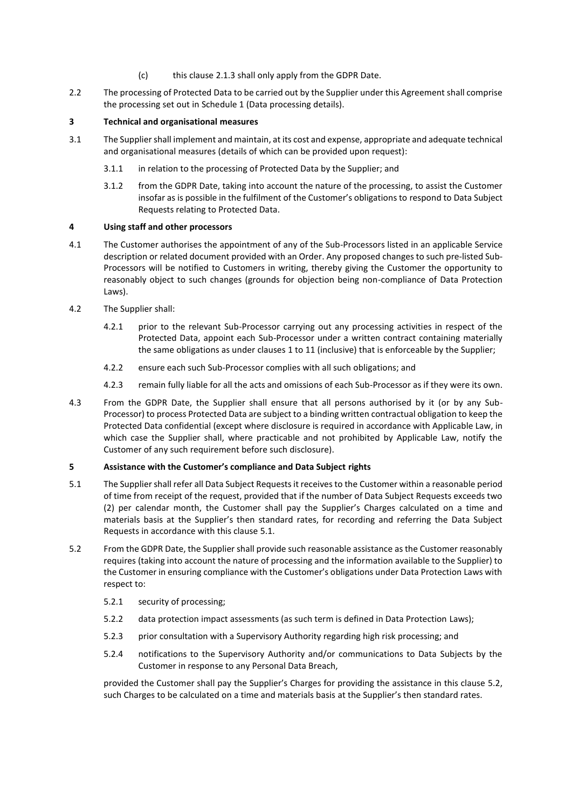- (c) this clause [2.1.3](#page-2-4) shall only apply from the GDPR Date.
- 2.2 The processing of Protected Data to be carried out by the Supplier under this Agreement shall comprise the processing set out in [Schedule 1](#page-6-0) (Data processing details).

#### **3 Technical and organisational measures**

- 3.1 The Supplier shall implement and maintain, at its cost and expense, appropriate and adequate technical and organisational measures (details of which can be provided upon request):
	- 3.1.1 in relation to the processing of Protected Data by the Supplier; and
	- 3.1.2 from the GDPR Date, taking into account the nature of the processing, to assist the Customer insofar as is possible in the fulfilment of the Customer's obligations to respond to Data Subject Requests relating to Protected Data.

#### **4 Using staff and other processors**

- 4.1 The Customer authorises the appointment of any of the Sub-Processors listed in an applicable Service description or related document provided with an Order. Any proposed changes to such pre-listed Sub-Processors will be notified to Customers in writing, thereby giving the Customer the opportunity to reasonably object to such changes (grounds for objection being non-compliance of Data Protection Laws).
- 4.2 The Supplier shall:
	- 4.2.1 prior to the relevant Sub-Processor carrying out any processing activities in respect of the Protected Data, appoint each Sub-Processor under a written contract containing materially the same obligations as under clauses [1](#page-1-0) to [11](#page-5-0) (inclusive) that is enforceable by the Supplier;
	- 4.2.2 ensure each such Sub-Processor complies with all such obligations; and
	- 4.2.3 remain fully liable for all the acts and omissions of each Sub-Processor as if they were its own.
- 4.3 From the GDPR Date, the Supplier shall ensure that all persons authorised by it (or by any Sub-Processor) to process Protected Data are subject to a binding written contractual obligation to keep the Protected Data confidential (except where disclosure is required in accordance with Applicable Law, in which case the Supplier shall, where practicable and not prohibited by Applicable Law, notify the Customer of any such requirement before such disclosure).

#### **5 Assistance with the Customer's compliance and Data Subject rights**

- <span id="page-3-0"></span>5.1 The Supplier shall refer all Data Subject Requests it receives to the Customer within a reasonable period of time from receipt of the request, provided that if the number of Data Subject Requests exceeds two (2) per calendar month, the Customer shall pay the Supplier's Charges calculated on a time and materials basis at the Supplier's then standard rates, for recording and referring the Data Subject Requests in accordance with this clause [5.1.](#page-3-0)
- <span id="page-3-1"></span>5.2 From the GDPR Date, the Supplier shall provide such reasonable assistance as the Customer reasonably requires (taking into account the nature of processing and the information available to the Supplier) to the Customer in ensuring compliance with the Customer's obligations under Data Protection Laws with respect to:
	- 5.2.1 security of processing;
	- 5.2.2 data protection impact assessments (as such term is defined in Data Protection Laws);
	- 5.2.3 prior consultation with a Supervisory Authority regarding high risk processing; and
	- 5.2.4 notifications to the Supervisory Authority and/or communications to Data Subjects by the Customer in response to any Personal Data Breach,

provided the Customer shall pay the Supplier's Charges for providing the assistance in this clause [5.2,](#page-3-1) such Charges to be calculated on a time and materials basis at the Supplier's then standard rates.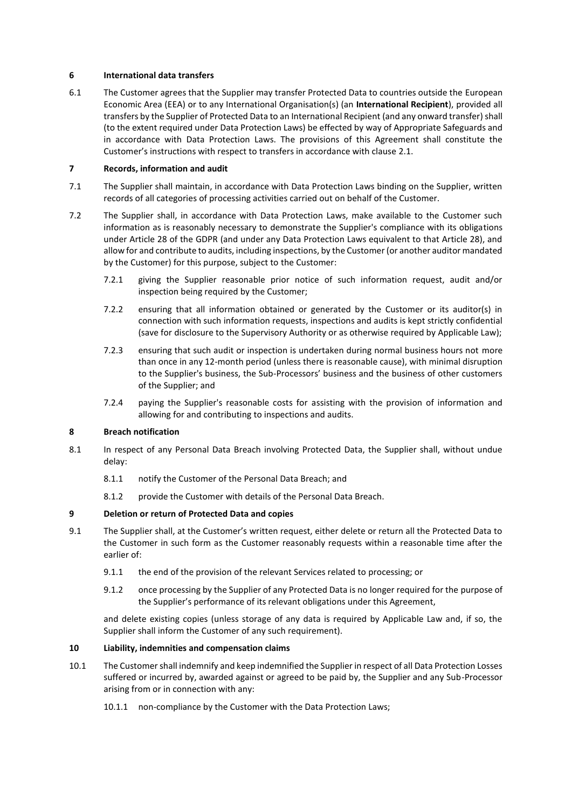#### **6 International data transfers**

<span id="page-4-0"></span>6.1 The Customer agrees that the Supplier may transfer Protected Data to countries outside the European Economic Area (EEA) or to any International Organisation(s) (an **International Recipient**), provided all transfers by the Supplier of Protected Data to an International Recipient (and any onward transfer) shall (to the extent required under Data Protection Laws) be effected by way of Appropriate Safeguards and in accordance with Data Protection Laws. The provisions of this Agreement shall constitute the Customer's instructions with respect to transfers in accordance with clause [2.1.](#page-2-5)

#### **7 Records, information and audit**

- 7.1 The Supplier shall maintain, in accordance with Data Protection Laws binding on the Supplier, written records of all categories of processing activities carried out on behalf of the Customer.
- 7.2 The Supplier shall, in accordance with Data Protection Laws, make available to the Customer such information as is reasonably necessary to demonstrate the Supplier's compliance with its obligations under Article 28 of the GDPR (and under any Data Protection Laws equivalent to that Article 28), and allow for and contribute to audits, including inspections, by the Customer (or another auditor mandated by the Customer) for this purpose, subject to the Customer:
	- 7.2.1 giving the Supplier reasonable prior notice of such information request, audit and/or inspection being required by the Customer:
	- 7.2.2 ensuring that all information obtained or generated by the Customer or its auditor(s) in connection with such information requests, inspections and audits is kept strictly confidential (save for disclosure to the Supervisory Authority or as otherwise required by Applicable Law);
	- 7.2.3 ensuring that such audit or inspection is undertaken during normal business hours not more than once in any 12-month period (unless there is reasonable cause), with minimal disruption to the Supplier's business, the Sub-Processors' business and the business of other customers of the Supplier; and
	- 7.2.4 paying the Supplier's reasonable costs for assisting with the provision of information and allowing for and contributing to inspections and audits.

#### <span id="page-4-4"></span>**8 Breach notification**

- 8.1 In respect of any Personal Data Breach involving Protected Data, the Supplier shall, without undue delay:
	- 8.1.1 notify the Customer of the Personal Data Breach; and
	- 8.1.2 provide the Customer with details of the Personal Data Breach.

#### <span id="page-4-3"></span>**9 Deletion or return of Protected Data and copies**

- 9.1 The Supplier shall, at the Customer's written request, either delete or return all the Protected Data to the Customer in such form as the Customer reasonably requests within a reasonable time after the earlier of:
	- 9.1.1 the end of the provision of the relevant Services related to processing; or
	- 9.1.2 once processing by the Supplier of any Protected Data is no longer required for the purpose of the Supplier's performance of its relevant obligations under this Agreement,

and delete existing copies (unless storage of any data is required by Applicable Law and, if so, the Supplier shall inform the Customer of any such requirement).

#### <span id="page-4-2"></span>**10 Liability, indemnities and compensation claims**

- <span id="page-4-1"></span>10.1 The Customer shall indemnify and keep indemnified the Supplier in respect of all Data Protection Losses suffered or incurred by, awarded against or agreed to be paid by, the Supplier and any Sub-Processor arising from or in connection with any:
	- 10.1.1 non-compliance by the Customer with the Data Protection Laws;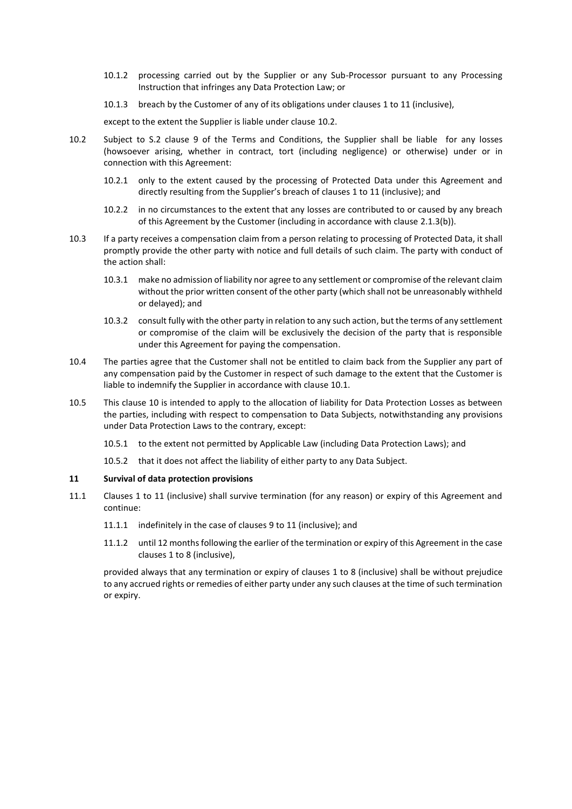- 10.1.2 processing carried out by the Supplier or any Sub-Processor pursuant to any Processing Instruction that infringes any Data Protection Law; or
- 10.1.3 breach by the Customer of any of its obligations under clauses [1](#page-1-0) to [11](#page-5-0) (inclusive),

except to the extent the Supplier is liable under clause [10.2.](#page-5-1)

- <span id="page-5-1"></span>10.2 Subject to S.2 clause 9 of the Terms and Conditions, the Supplier shall be liable for any losses (howsoever arising, whether in contract, tort (including negligence) or otherwise) under or in connection with this Agreement:
	- 10.2.1 only to the extent caused by the processing of Protected Data under this Agreement and directly resulting from the Supplier's breach of clauses [1](#page-1-0) to [11](#page-5-0) (inclusive); and
	- 10.2.2 in no circumstances to the extent that any losses are contributed to or caused by any breach of this Agreement by the Customer (including in accordance with clause [2.1.3\(b\)\)](#page-2-4).
- 10.3 If a party receives a compensation claim from a person relating to processing of Protected Data, it shall promptly provide the other party with notice and full details of such claim. The party with conduct of the action shall:
	- 10.3.1 make no admission of liability nor agree to any settlement or compromise of the relevant claim without the prior written consent of the other party (which shall not be unreasonably withheld or delayed); and
	- 10.3.2 consult fully with the other party in relation to any such action, but the terms of any settlement or compromise of the claim will be exclusively the decision of the party that is responsible under this Agreement for paying the compensation.
- 10.4 The parties agree that the Customer shall not be entitled to claim back from the Supplier any part of any compensation paid by the Customer in respect of such damage to the extent that the Customer is liable to indemnify the Supplier in accordance with claus[e 10.1.](#page-4-1)
- 10.5 This clause [10](#page-4-2) is intended to apply to the allocation of liability for Data Protection Losses as between the parties, including with respect to compensation to Data Subjects, notwithstanding any provisions under Data Protection Laws to the contrary, except:
	- 10.5.1 to the extent not permitted by Applicable Law (including Data Protection Laws); and
	- 10.5.2 that it does not affect the liability of either party to any Data Subject.

#### <span id="page-5-0"></span>**11 Survival of data protection provisions**

- 11.1 Clauses [1](#page-1-0) to [11](#page-5-0) (inclusive) shall survive termination (for any reason) or expiry of this Agreement and continue:
	- 11.1.1 indefinitely in the case of clauses [9](#page-4-3) t[o 11](#page-5-0) (inclusive); and
	- 11.1.2 until 12 monthsfollowing the earlier of the termination or expiry of this Agreement in the case clause[s 1](#page-1-0) to [8](#page-4-4) (inclusive),

provided always that any termination or expiry of clauses [1](#page-1-0) to [8](#page-4-4) (inclusive) shall be without prejudice to any accrued rights or remedies of either party under any such clauses at the time of such termination or expiry.